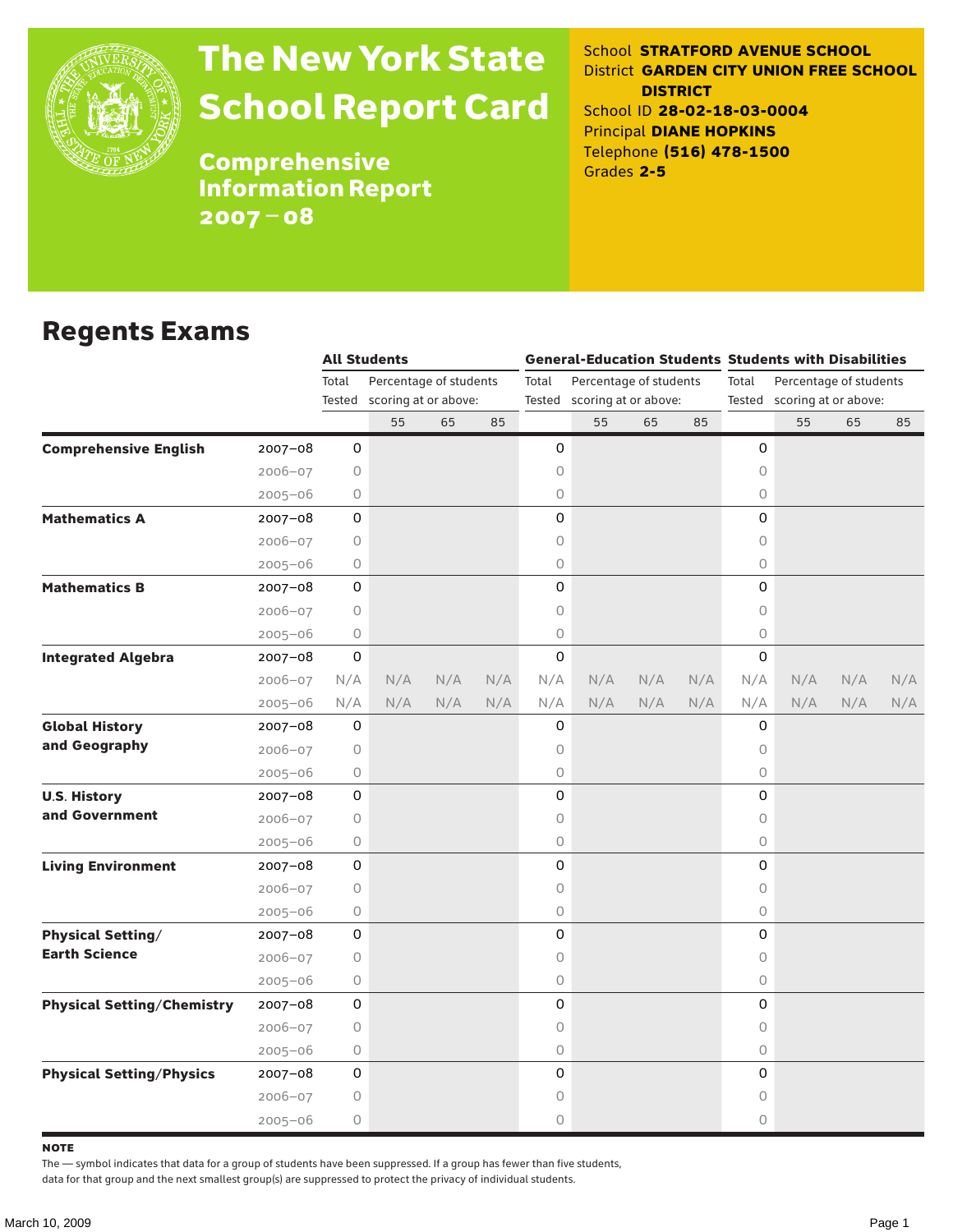

# The New York State School Report Card

School **STRATFORD AVENUE SCHOOL** District **GARDEN CITY UNION FREE SCHOOL DISTRICT** School ID **28-02-18-03-0004** Principal **DIANE HOPKINS** Telephone **(516) 478-1500** Grades **2-5**

**Comprehensive** Information Report 2007–08

### Regents Exams

|                                   |             | <b>All Students</b>             |                             |     |       | <b>General-Education Students Students with Disabilities</b> |     |     |                                 |                             |     |     |     |  |
|-----------------------------------|-------------|---------------------------------|-----------------------------|-----|-------|--------------------------------------------------------------|-----|-----|---------------------------------|-----------------------------|-----|-----|-----|--|
|                                   |             | Total<br>Percentage of students |                             |     | Total | Percentage of students                                       |     |     | Total<br>Percentage of students |                             |     |     |     |  |
|                                   |             |                                 | Tested scoring at or above: |     |       | Tested scoring at or above:                                  |     |     |                                 | Tested scoring at or above: |     |     |     |  |
|                                   |             |                                 | 55                          | 65  | 85    |                                                              | 55  | 65  | 85                              |                             | 55  | 65  | 85  |  |
| <b>Comprehensive English</b>      | $2007 - 08$ | 0                               |                             |     |       | 0                                                            |     |     |                                 | 0                           |     |     |     |  |
|                                   | $2006 - 07$ | 0                               |                             |     |       | 0                                                            |     |     |                                 | 0                           |     |     |     |  |
|                                   | $2005 - 06$ | 0                               |                             |     |       | 0                                                            |     |     |                                 | 0                           |     |     |     |  |
| <b>Mathematics A</b>              | 2007-08     | 0                               |                             |     |       | 0                                                            |     |     |                                 | 0                           |     |     |     |  |
|                                   | 2006-07     | 0                               |                             |     |       | 0                                                            |     |     |                                 | 0                           |     |     |     |  |
|                                   | $2005 - 06$ | 0                               |                             |     |       | 0                                                            |     |     |                                 | 0                           |     |     |     |  |
| <b>Mathematics B</b>              | 2007-08     | 0                               |                             |     |       | 0                                                            |     |     |                                 | $\Omega$                    |     |     |     |  |
|                                   | $2006 - 07$ | 0                               |                             |     |       | 0                                                            |     |     |                                 | $\circ$                     |     |     |     |  |
|                                   | $2005 - 06$ | 0                               |                             |     |       | 0                                                            |     |     |                                 | $\circ$                     |     |     |     |  |
| <b>Integrated Algebra</b>         | 2007-08     | 0                               |                             |     |       | 0                                                            |     |     |                                 | 0                           |     |     |     |  |
|                                   | $2006 - 07$ | N/A                             | N/A                         | N/A | N/A   | N/A                                                          | N/A | N/A | N/A                             | N/A                         | N/A | N/A | N/A |  |
|                                   | $2005 - 06$ | N/A                             | N/A                         | N/A | N/A   | N/A                                                          | N/A | N/A | N/A                             | N/A                         | N/A | N/A | N/A |  |
| <b>Global History</b>             | 2007-08     | 0                               |                             |     |       | 0                                                            |     |     |                                 | 0                           |     |     |     |  |
| and Geography                     | $2006 - 07$ | 0                               |                             |     |       | 0                                                            |     |     |                                 | $\circ$                     |     |     |     |  |
|                                   | $2005 - 06$ | 0                               |                             |     |       | 0                                                            |     |     |                                 | $\circ$                     |     |     |     |  |
| <b>U.S. History</b>               | 2007-08     | 0                               |                             |     |       | 0                                                            |     |     |                                 | 0                           |     |     |     |  |
| and Government                    | $2006 - 07$ | 0                               |                             |     |       | 0                                                            |     |     |                                 | 0                           |     |     |     |  |
|                                   | $2005 - 06$ | 0                               |                             |     |       | 0                                                            |     |     |                                 | $\circ$                     |     |     |     |  |
| <b>Living Environment</b>         | 2007-08     | 0                               |                             |     |       | 0                                                            |     |     |                                 | 0                           |     |     |     |  |
|                                   | $2006 - 07$ | $\circ$                         |                             |     |       | 0                                                            |     |     |                                 | $\circ$                     |     |     |     |  |
|                                   | $2005 - 06$ | 0                               |                             |     |       | 0                                                            |     |     |                                 | 0                           |     |     |     |  |
| <b>Physical Setting/</b>          | $2007 - 08$ | 0                               |                             |     |       | 0                                                            |     |     |                                 | 0                           |     |     |     |  |
| <b>Earth Science</b>              | $2006 - 07$ | 0                               |                             |     |       | 0                                                            |     |     |                                 | 0                           |     |     |     |  |
|                                   | $2005 - 06$ | 0                               |                             |     |       | 0                                                            |     |     |                                 | $\circ$                     |     |     |     |  |
| <b>Physical Setting/Chemistry</b> | 2007-08     | 0                               |                             |     |       | 0                                                            |     |     |                                 | 0                           |     |     |     |  |
|                                   | $2006 - 07$ | 0                               |                             |     |       | 0                                                            |     |     |                                 | 0                           |     |     |     |  |
|                                   | $2005 - 06$ | 0                               |                             |     |       | 0                                                            |     |     |                                 | $\circ$                     |     |     |     |  |
| <b>Physical Setting/Physics</b>   | $2007 - 08$ | 0                               |                             |     |       | 0                                                            |     |     |                                 | 0                           |     |     |     |  |
|                                   | $2006 - 07$ | 0                               |                             |     |       | 0                                                            |     |     |                                 | 0                           |     |     |     |  |
|                                   | $2005 - 06$ | 0                               |                             |     |       | 0                                                            |     |     |                                 | 0                           |     |     |     |  |

**NOTE** 

The — symbol indicates that data for a group of students have been suppressed. If a group has fewer than five students,

data for that group and the next smallest group(s) are suppressed to protect the privacy of individual students.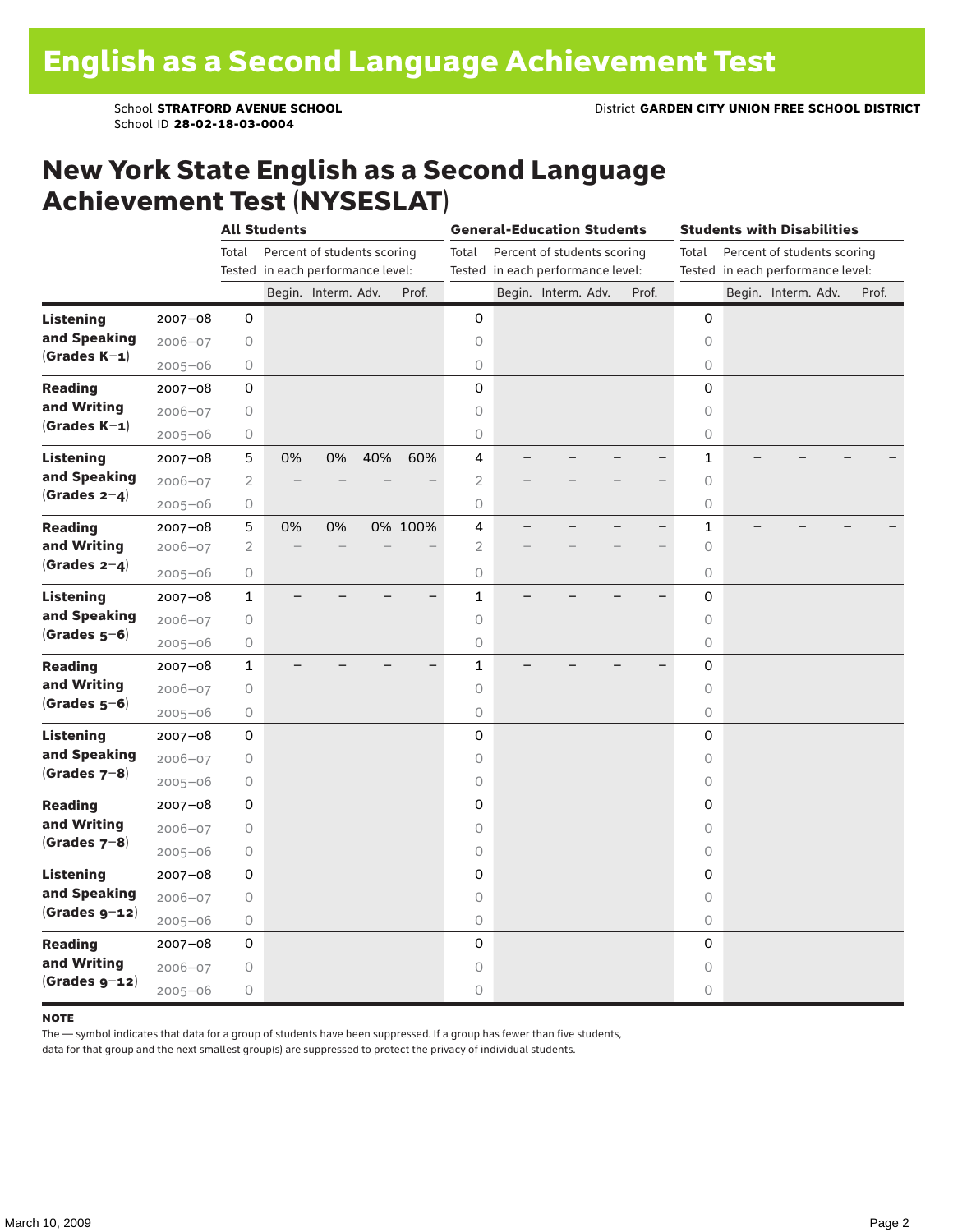School ID **28-02-18-03-0004**

### New York State English as a Second Language Achievement Test (NYSESLAT)

|                  |             | <b>All Students</b> |                                   |                             |     |                          | <b>General-Education Students</b> |                                   |                             |  |       | <b>Students with Disabilities</b> |  |                             |  |       |  |
|------------------|-------------|---------------------|-----------------------------------|-----------------------------|-----|--------------------------|-----------------------------------|-----------------------------------|-----------------------------|--|-------|-----------------------------------|--|-----------------------------|--|-------|--|
|                  |             | Total               |                                   | Percent of students scoring |     |                          | Total                             |                                   | Percent of students scoring |  |       | Total                             |  | Percent of students scoring |  |       |  |
|                  |             |                     | Tested in each performance level: |                             |     |                          |                                   | Tested in each performance level: |                             |  |       | Tested in each performance level: |  |                             |  |       |  |
|                  |             |                     |                                   | Begin. Interm. Adv.         |     | Prof.                    |                                   |                                   | Begin. Interm. Adv.         |  | Prof. |                                   |  | Begin. Interm. Adv.         |  | Prof. |  |
| <b>Listening</b> | $2007 - 08$ | 0                   |                                   |                             |     |                          | 0                                 |                                   |                             |  |       | 0                                 |  |                             |  |       |  |
| and Speaking     | $2006 - 07$ | $\mathsf O$         |                                   |                             |     |                          | $\circ$                           |                                   |                             |  |       | $\circ$                           |  |                             |  |       |  |
| $(Grades K-1)$   | $2005 - 06$ | 0                   |                                   |                             |     |                          | $\circ$                           |                                   |                             |  |       | $\circ$                           |  |                             |  |       |  |
| <b>Reading</b>   | $2007 - 08$ | 0                   |                                   |                             |     |                          | 0                                 |                                   |                             |  |       | 0                                 |  |                             |  |       |  |
| and Writing      | $2006 - 07$ | $\bigcirc$          |                                   |                             |     |                          | $\mathsf O$                       |                                   |                             |  |       | $\circ$                           |  |                             |  |       |  |
| $(Grades K-1)$   | $2005 - 06$ | $\bigcirc$          |                                   |                             |     |                          | $\circ$                           |                                   |                             |  |       | $\circ$                           |  |                             |  |       |  |
| <b>Listening</b> | $2007 - 08$ | 5                   | 0%                                | 0%                          | 40% | 60%                      | 4                                 |                                   |                             |  |       | $\mathbf{1}$                      |  |                             |  |       |  |
| and Speaking     | $2006 - 07$ | $\sqrt{2}$          |                                   |                             |     |                          | $\overline{2}$                    |                                   |                             |  |       | 0                                 |  |                             |  |       |  |
| $(Grades 2-4)$   | $2005 - 06$ | 0                   |                                   |                             |     |                          | $\bigcirc$                        |                                   |                             |  |       | $\bigcirc$                        |  |                             |  |       |  |
| <b>Reading</b>   | $2007 - 08$ | 5                   | 0%                                | 0%                          |     | 0% 100%                  | 4                                 |                                   |                             |  |       | $\mathbf 1$                       |  |                             |  |       |  |
| and Writing      | 2006-07     | $\sqrt{2}$          |                                   |                             |     |                          | $\overline{2}$                    |                                   |                             |  |       | $\Omega$                          |  |                             |  |       |  |
| (Grades $2-4$ )  | $2005 - 06$ | $\mathsf O$         |                                   |                             |     |                          | $\circ$                           |                                   |                             |  |       | $\circ$                           |  |                             |  |       |  |
| <b>Listening</b> | 2007-08     | $\mathbf{1}$        |                                   |                             |     | $\overline{\phantom{0}}$ | $\mathbf{1}$                      |                                   |                             |  |       | 0                                 |  |                             |  |       |  |
| and Speaking     | $2006 - 07$ | $\bigcirc$          |                                   |                             |     |                          | 0                                 |                                   |                             |  |       | $\circ$                           |  |                             |  |       |  |
| $(Grades 5-6)$   | $2005 - 06$ | $\bigcirc$          |                                   |                             |     |                          | 0                                 |                                   |                             |  |       | $\bigcirc$                        |  |                             |  |       |  |
| <b>Reading</b>   | $2007 - 08$ | $\mathbf{1}$        |                                   |                             |     |                          | $\mathbf{1}$                      |                                   |                             |  |       | 0                                 |  |                             |  |       |  |
| and Writing      | $2006 - 07$ | 0                   |                                   |                             |     |                          | 0                                 |                                   |                             |  |       | $\circ$                           |  |                             |  |       |  |
| $(Grades 5-6)$   | $2005 - 06$ | 0                   |                                   |                             |     |                          | 0                                 |                                   |                             |  |       | $\circ$                           |  |                             |  |       |  |
| Listening        | $2007 - 08$ | 0                   |                                   |                             |     |                          | 0                                 |                                   |                             |  |       | 0                                 |  |                             |  |       |  |
| and Speaking     | $2006 - 07$ | $\mathsf O$         |                                   |                             |     |                          | $\mathsf O$                       |                                   |                             |  |       | $\circ$                           |  |                             |  |       |  |
| (Grades $7-8$ )  | $2005 - 06$ | $\bigcirc$          |                                   |                             |     |                          | 0                                 |                                   |                             |  |       | $\circ$                           |  |                             |  |       |  |
| <b>Reading</b>   | $2007 - 08$ | 0                   |                                   |                             |     |                          | 0                                 |                                   |                             |  |       | 0                                 |  |                             |  |       |  |
| and Writing      | $2006 - 07$ | 0                   |                                   |                             |     |                          | 0                                 |                                   |                             |  |       | 0                                 |  |                             |  |       |  |
| (Grades $7-8$ )  | $2005 - 06$ | 0                   |                                   |                             |     |                          | 0                                 |                                   |                             |  |       | $\bigcirc$                        |  |                             |  |       |  |
| <b>Listening</b> | $2007 - 08$ | 0                   |                                   |                             |     |                          | 0                                 |                                   |                             |  |       | 0                                 |  |                             |  |       |  |
| and Speaking     | $2006 - 07$ | $\mathsf O$         |                                   |                             |     |                          | $\bigcirc$                        |                                   |                             |  |       | $\circ$                           |  |                             |  |       |  |
| $(Grades g-12)$  | $2005 - 06$ | $\mathsf O$         |                                   |                             |     |                          | 0                                 |                                   |                             |  |       | $\circ$                           |  |                             |  |       |  |
| <b>Reading</b>   | 2007-08     | $\mathsf 0$         |                                   |                             |     |                          | 0                                 |                                   |                             |  |       | 0                                 |  |                             |  |       |  |
| and Writing      | $2006 - 07$ | 0                   |                                   |                             |     |                          | 0                                 |                                   |                             |  |       | $\circ$                           |  |                             |  |       |  |
| $(Grades g-12)$  | $2005 - 06$ | $\bigcirc$          |                                   |                             |     |                          | 0                                 |                                   |                             |  |       | $\circ$                           |  |                             |  |       |  |

#### **NOTE**

The — symbol indicates that data for a group of students have been suppressed. If a group has fewer than five students,

data for that group and the next smallest group(s) are suppressed to protect the privacy of individual students.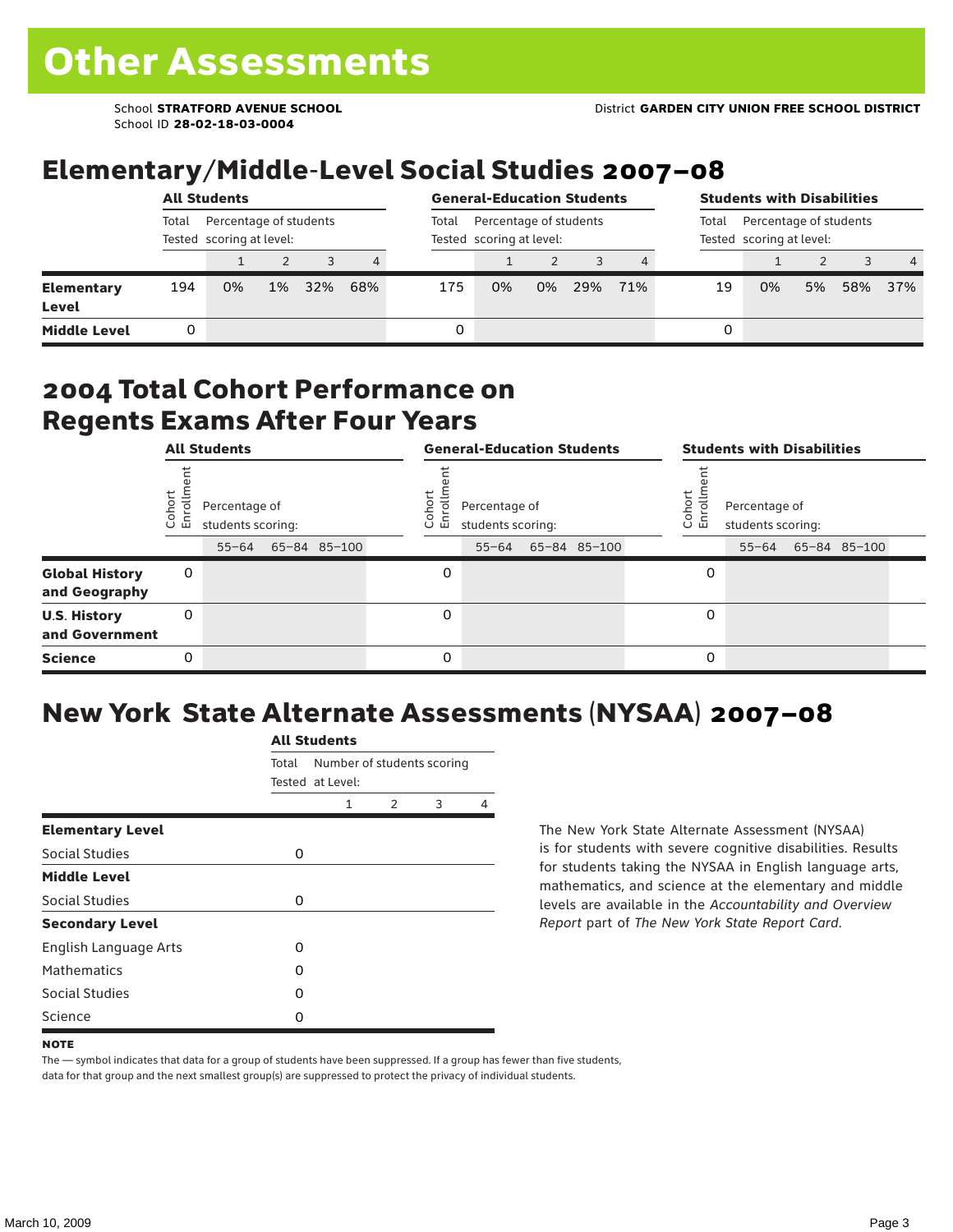School ID **28-02-18-03-0004**

## Elementary/Middle-Level Social Studies 2007–08

|                                   | <b>All Students</b>                                         |    |       |     |                |       | <b>General-Education Students</b>                  | <b>Students with Disabilities</b>                           |     |     |    |    |    |     |                |
|-----------------------------------|-------------------------------------------------------------|----|-------|-----|----------------|-------|----------------------------------------------------|-------------------------------------------------------------|-----|-----|----|----|----|-----|----------------|
|                                   | Total<br>Percentage of students<br>Tested scoring at level: |    |       |     |                | Total | Percentage of students<br>Tested scoring at level: | Percentage of students<br>Total<br>Tested scoring at level: |     |     |    |    |    |     |                |
|                                   |                                                             |    |       |     | $\overline{4}$ |       |                                                    |                                                             |     | 4   |    |    |    |     | $\overline{4}$ |
| <b>Elementary</b><br><b>Level</b> | 194                                                         | 0% | $1\%$ | 32% | 68%            | 175   | 0%                                                 | 0%                                                          | 29% | 71% | 19 | 0% | 5% | 58% | 37%            |
| <b>Middle Level</b>               |                                                             |    |       |     |                | 0     |                                                    |                                                             |     |     | 0  |    |    |     |                |

#### 2004 Total Cohort Performance on Regents Exams After Four Years

|                                        | <b>All Students</b> |                                                 |  |              |  | <b>General-Education Students</b> |                                                 |  |              |  |                       | <b>Students with Disabilities</b>  |  |                    |  |  |  |
|----------------------------------------|---------------------|-------------------------------------------------|--|--------------|--|-----------------------------------|-------------------------------------------------|--|--------------|--|-----------------------|------------------------------------|--|--------------------|--|--|--|
|                                        | Cohor<br>Enroll     | Percentage of<br>students scoring:<br>$55 - 64$ |  | 65-84 85-100 |  | Cohoi<br>ō.<br>ᇛ                  | Percentage of<br>students scoring:<br>$55 - 64$ |  | 65-84 85-100 |  | Cohor<br>$\circ$<br>멷 | Percentage of<br>students scoring: |  | 55-64 65-84 85-100 |  |  |  |
| <b>Global History</b><br>and Geography | 0                   |                                                 |  |              |  | 0                                 |                                                 |  |              |  | 0                     |                                    |  |                    |  |  |  |
| <b>U.S. History</b><br>and Government  | 0                   |                                                 |  |              |  | 0                                 |                                                 |  |              |  | 0                     |                                    |  |                    |  |  |  |
| <b>Science</b>                         | 0                   |                                                 |  |              |  | 0                                 |                                                 |  |              |  | 0                     |                                    |  |                    |  |  |  |

## New York State Alternate Assessments (NYSAA) 2007–08

|                         | <b>All Students</b> |                                                |               |   |   |  |  |  |  |  |  |
|-------------------------|---------------------|------------------------------------------------|---------------|---|---|--|--|--|--|--|--|
|                         | Total               | Number of students scoring<br>Tested at Level: |               |   |   |  |  |  |  |  |  |
|                         |                     | 1                                              | $\mathcal{P}$ | 3 | 4 |  |  |  |  |  |  |
| <b>Elementary Level</b> |                     |                                                |               |   |   |  |  |  |  |  |  |
| Social Studies          | 0                   |                                                |               |   |   |  |  |  |  |  |  |
| <b>Middle Level</b>     |                     |                                                |               |   |   |  |  |  |  |  |  |
| <b>Social Studies</b>   | 0                   |                                                |               |   |   |  |  |  |  |  |  |
| <b>Secondary Level</b>  |                     |                                                |               |   |   |  |  |  |  |  |  |
| English Language Arts   | O                   |                                                |               |   |   |  |  |  |  |  |  |
| <b>Mathematics</b>      | O                   |                                                |               |   |   |  |  |  |  |  |  |
| Social Studies          | O                   |                                                |               |   |   |  |  |  |  |  |  |
| Science                 | O                   |                                                |               |   |   |  |  |  |  |  |  |

The New York State Alternate Assessment (NYSAA) is for students with severe cognitive disabilities. Results for students taking the NYSAA in English language arts, mathematics, and science at the elementary and middle levels are available in the *Accountability and Overview Report* part of *The New York State Report Card*.

The — symbol indicates that data for a group of students have been suppressed. If a group has fewer than five students, data for that group and the next smallest group(s) are suppressed to protect the privacy of individual students.

**NOTE**